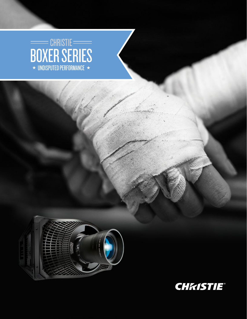# EXAMPLE SERIES



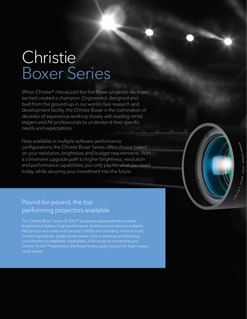# Christie Boxer Series

When Christie® introduced the first Boxer projector we knew we had created a champion. Engineered, designed and built from the ground-up in our world-class research and development facility, the Christie Boxer is the culmination of decades of experience working closely with leading rental stagers and AV professionals to understand their specific needs and expectations.

Now available in multiple software performance configurations, the Christie Boxer Series offers choice based on your resolution, brightness and budget requirements. With a convenient upgrade path to higher brightness, resolution and performance capabilities, you only pay for what you need today, while securing your investment into the future.

## Pound-for-pound, the top performing projectors available

The Christie Boxer Series of 3DLP® projectors represents the smartest, brightest and lightest high-performance, professional projectors available. Weighing in at a svelte and compact 160 lbs and including a host of smart monitoring features, single-phase power, built-in warping and blending, omnidirectional installation capabilities, a full-range of connectivity and Christie TruLife™ electronics, the Boxer Series packs a punch for high-impact visual events.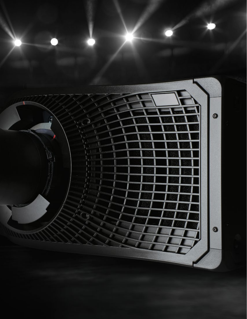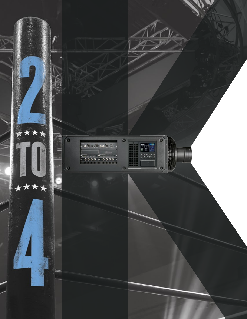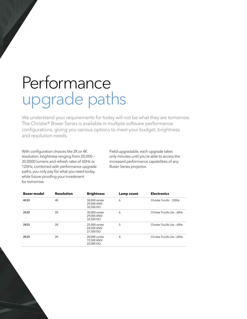# Performance upgrade paths

We understand your requirements for today will not be what they are tomorrow. The Christie® Boxer Series is available in multiple software performance configurations, giving you various options to meet your budget, brightness and resolution needs.

With configuration choices like 2K or 4K resolution, brightness ranging from 20,000 – 30,0000 lumens and refresh rates of 60Hz or 120Hz, combined with performance upgrade paths, you only pay for what you need today, while future-proofing your investment for tomorrow.

Field-upgradable, each upgrade takes only minutes until you're able to access the increased performance capabilities of any Boxer Series projector.

| <b>Boxer model</b> | <b>Resolution</b> | <b>Brightness</b>                          | Lamp count | <b>Electronics</b>           |
|--------------------|-------------------|--------------------------------------------|------------|------------------------------|
| 4K30               | 4K                | 30,000 center<br>29,000 ANSI<br>32,500 ISO | 6          | Christie TruLife - 120Hz     |
| 2K30               | 2K                | 30,000 center<br>29,000 ANSI<br>32,500 ISO | 6          | Christie TruLife Lite - 60Hz |
| 2K25               | 2K                | 25,000 center<br>24,500 ANSI<br>27,500 ISO | 5          | Christie TruLife Lite - 60Hz |
| 2K20               | 2K                | 20,000 center<br>19,500 ANSI<br>22,000 ISO | 4          | Christie TruLife Lite - 60Hz |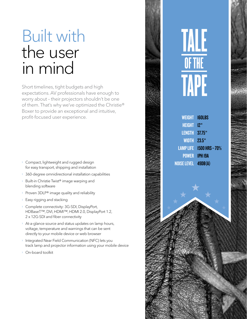## Built with the user in mind

Short timelines, tight budgets and high expectations. AV professionals have enough to worry about – their projectors shouldn't be one of them. That's why we've optimized the Christie® Boxer to provide an exceptional and intuitive, profit-focused user experience.

- › Compact, lightweight and rugged design for easy transport, shipping and installation
- 360-degree omnidirectional installation capabilities
- › Built-in Christie Twist® image warping and blending software
- $\rightarrow$  Proven 3DLP® image quality and reliability
- › Easy rigging and stacking
- › Complete connectivity: 3G-SDI, DisplayPort, HDBaseT™, DVI, HDMI™, HDMI 2.0, DisplayPort 1.2, 2 x 12G-SDI and fiber connectivity
- › At-a-glance source and status updates on lamp hours, voltage, temperature and warnings that can be sent directly to your mobile device or web browser
- › Integrated Near Field Communication (NFC) lets you track lamp and projector information using your mobile device
- › On-board toolkit

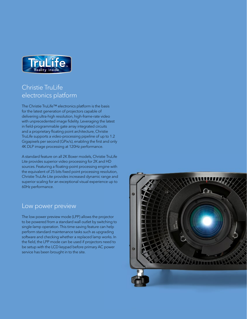

## Christie TruLife electronics platform

The Christie TruLife™ electronics platform is the basis for the latest generation of projectors capable of delivering ultra-high resolution, high-frame-rate video with unprecedented image fidelity. Leveraging the latest in field-programmable gate array integrated circuits and a proprietary floating point architecture, Christie TruLife supports a video-processing pipeline of up to 1.2 Gigapixels per second (GPix/s), enabling the first and only 4K DLP image processing at 120Hz performance.

A standard feature on all 2K Boxer models, Christie TruLife Lite provides superior video processing for 2K and HD sources. Featuring a floating-point processing engine with the equivalent of 25 bits fixed point processing resolution, Christie TruLife Lite provides increased dynamic range and superior scaling for an exceptional visual experience up to 60Hz performance.

### Low power preview

The low power preview mode (LPP) allows the projector to be powered from a standard wall outlet by switching to single-lamp operation. This time-saving feature can help perform standard maintenance tasks such as upgrading software and checking whether a replaced lamp works. In the field, the LPP mode can be used if projectors need to be setup with the LCD keypad before primary AC power service has been brought in to the site.